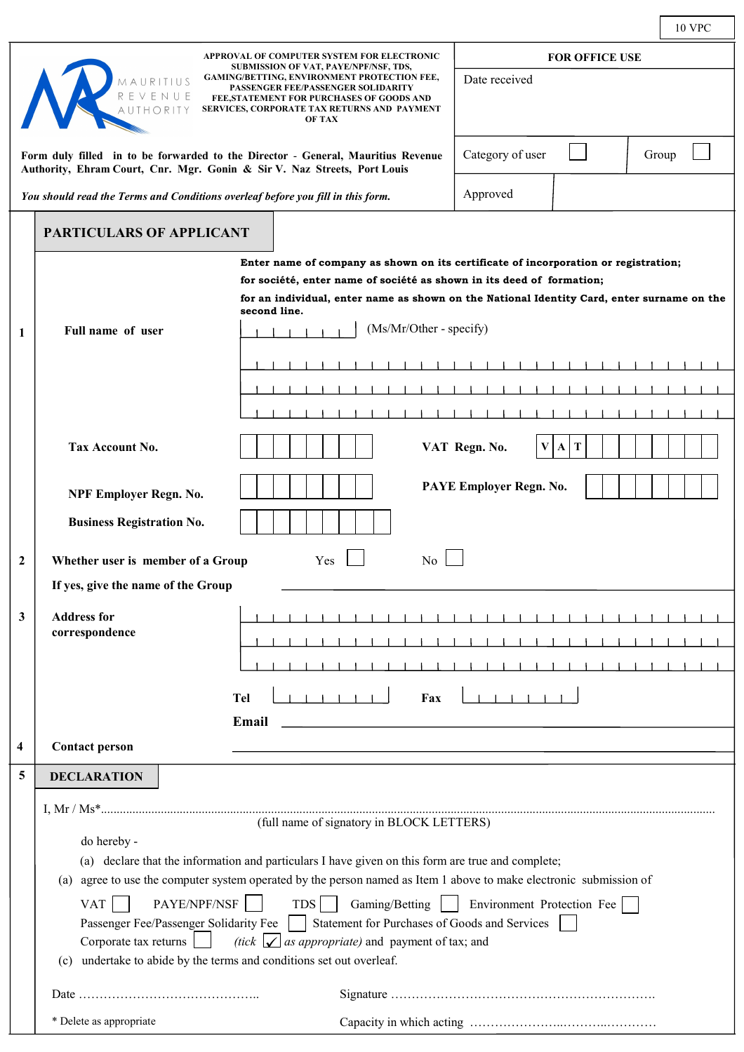|                                                                                                                                                                                                                                         |                                                                                                                                                                          |                                                                                                                | <b>10 VPC</b>                                                                              |  |
|-----------------------------------------------------------------------------------------------------------------------------------------------------------------------------------------------------------------------------------------|--------------------------------------------------------------------------------------------------------------------------------------------------------------------------|----------------------------------------------------------------------------------------------------------------|--------------------------------------------------------------------------------------------|--|
| APPROVAL OF COMPUTER SYSTEM FOR ELECTRONIC<br>SUBMISSION OF VAT, PAYE/NPF/NSF, TDS,                                                                                                                                                     |                                                                                                                                                                          |                                                                                                                | <b>FOR OFFICE USE</b>                                                                      |  |
| <b>GAMING/BETTING, ENVIRONMENT PROTECTION FEE,</b><br>Date received<br>MAURITIUS<br>PASSENGER FEE/PASSENGER SOLIDARITY<br>FEE, STATEMENT FOR PURCHASES OF GOODS AND<br>SERVICES, CORPORATE TAX RETURNS AND PAYMENT<br>THORITY<br>OF TAX |                                                                                                                                                                          |                                                                                                                |                                                                                            |  |
| Form duly filled in to be forwarded to the Director - General, Mauritius Revenue<br>Authority, Ehram Court, Cnr. Mgr. Gonin & Sir V. Naz Streets, Port Louis                                                                            |                                                                                                                                                                          |                                                                                                                | Category of user<br>Group                                                                  |  |
| You should read the Terms and Conditions overleaf before you fill in this form.                                                                                                                                                         |                                                                                                                                                                          |                                                                                                                | Approved                                                                                   |  |
|                                                                                                                                                                                                                                         | <b>PARTICULARS OF APPLICANT</b>                                                                                                                                          |                                                                                                                |                                                                                            |  |
|                                                                                                                                                                                                                                         |                                                                                                                                                                          |                                                                                                                | Enter name of company as shown on its certificate of incorporation or registration;        |  |
|                                                                                                                                                                                                                                         |                                                                                                                                                                          | for société, enter name of société as shown in its deed of formation;                                          |                                                                                            |  |
|                                                                                                                                                                                                                                         |                                                                                                                                                                          | second line.                                                                                                   | for an individual, enter name as shown on the National Identity Card, enter surname on the |  |
| 1                                                                                                                                                                                                                                       | Full name of user                                                                                                                                                        | (Ms/Mr/Other - specify)                                                                                        |                                                                                            |  |
|                                                                                                                                                                                                                                         |                                                                                                                                                                          |                                                                                                                |                                                                                            |  |
|                                                                                                                                                                                                                                         |                                                                                                                                                                          |                                                                                                                |                                                                                            |  |
|                                                                                                                                                                                                                                         |                                                                                                                                                                          |                                                                                                                |                                                                                            |  |
|                                                                                                                                                                                                                                         |                                                                                                                                                                          |                                                                                                                |                                                                                            |  |
|                                                                                                                                                                                                                                         | Tax Account No.                                                                                                                                                          |                                                                                                                | VAT Regn. No.<br>V A T                                                                     |  |
|                                                                                                                                                                                                                                         | NPF Employer Regn. No.                                                                                                                                                   |                                                                                                                | PAYE Employer Regn. No.                                                                    |  |
|                                                                                                                                                                                                                                         | <b>Business Registration No.</b>                                                                                                                                         |                                                                                                                |                                                                                            |  |
|                                                                                                                                                                                                                                         |                                                                                                                                                                          |                                                                                                                |                                                                                            |  |
| $\mathbf{2}$                                                                                                                                                                                                                            | Whether user is member of a Group<br>Yes<br>No                                                                                                                           |                                                                                                                |                                                                                            |  |
|                                                                                                                                                                                                                                         | If yes, give the name of the Group                                                                                                                                       |                                                                                                                |                                                                                            |  |
| 3                                                                                                                                                                                                                                       | <b>Address for</b>                                                                                                                                                       |                                                                                                                | and the control                                                                            |  |
|                                                                                                                                                                                                                                         | correspondence                                                                                                                                                           |                                                                                                                |                                                                                            |  |
|                                                                                                                                                                                                                                         |                                                                                                                                                                          |                                                                                                                |                                                                                            |  |
|                                                                                                                                                                                                                                         |                                                                                                                                                                          | <b>Tel</b><br>Fax                                                                                              |                                                                                            |  |
|                                                                                                                                                                                                                                         |                                                                                                                                                                          | Email                                                                                                          |                                                                                            |  |
| $\overline{\mathbf{4}}$                                                                                                                                                                                                                 | <b>Contact person</b>                                                                                                                                                    |                                                                                                                |                                                                                            |  |
| 5                                                                                                                                                                                                                                       | <b>DECLARATION</b>                                                                                                                                                       |                                                                                                                |                                                                                            |  |
|                                                                                                                                                                                                                                         |                                                                                                                                                                          |                                                                                                                |                                                                                            |  |
|                                                                                                                                                                                                                                         | (full name of signatory in BLOCK LETTERS)                                                                                                                                |                                                                                                                |                                                                                            |  |
|                                                                                                                                                                                                                                         | do hereby -                                                                                                                                                              |                                                                                                                |                                                                                            |  |
|                                                                                                                                                                                                                                         | (a) declare that the information and particulars I have given on this form are true and complete;                                                                        |                                                                                                                |                                                                                            |  |
|                                                                                                                                                                                                                                         | (a)                                                                                                                                                                      | agree to use the computer system operated by the person named as Item 1 above to make electronic submission of |                                                                                            |  |
|                                                                                                                                                                                                                                         | PAYE/NPF/NSF<br>$TDS$    <br>Gaming/Betting   Environment Protection Fee<br><b>VAT</b>                                                                                   |                                                                                                                |                                                                                            |  |
|                                                                                                                                                                                                                                         | Statement for Purchases of Goods and Services<br>Passenger Fee/Passenger Solidarity Fee<br>(tick $\Box$ as appropriate) and payment of tax; and<br>Corporate tax returns |                                                                                                                |                                                                                            |  |
|                                                                                                                                                                                                                                         | undertake to abide by the terms and conditions set out overleaf.<br>(c)                                                                                                  |                                                                                                                |                                                                                            |  |
|                                                                                                                                                                                                                                         |                                                                                                                                                                          |                                                                                                                |                                                                                            |  |
|                                                                                                                                                                                                                                         | * Delete as appropriate                                                                                                                                                  |                                                                                                                |                                                                                            |  |